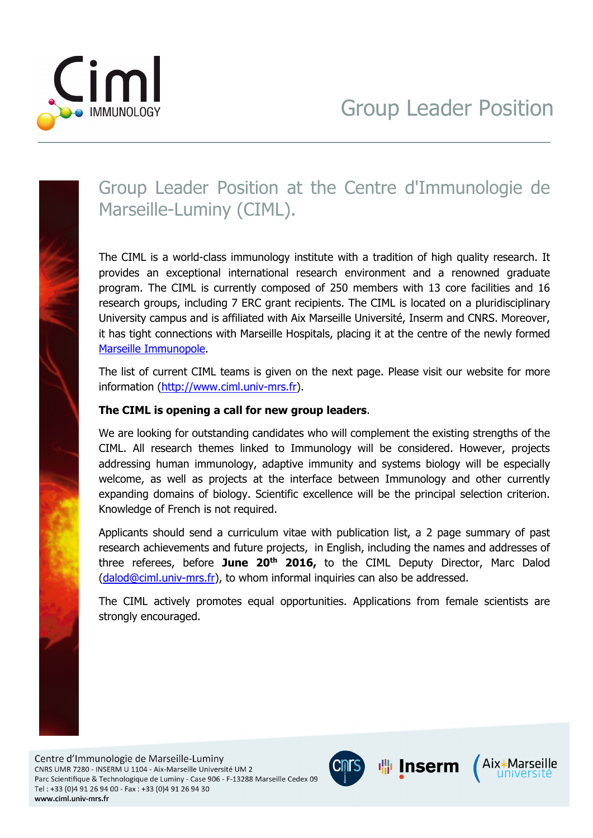



## Group Leader Position at the Centre d'Immunologie de Marseille-Luminy (CIML).

The CIML is a world-class immunology institute with a tradition of high quality research. It provides an exceptional international research environment and a renowned graduate program. The CIML is currently composed of 250 members with 13 core facilities and 16 research groups, including 7 ERC grant recipients. The CIML is located on a pluridisciplinary University campus and is affiliated with Aix Marseille Université, Inserm and CNRS. Moreover, it has tight connections with Marseille Hospitals, placing it at the centre of the newly formed Marseille Immunopole.

The list of current CIML teams is given on the next page. Please visit our website for more information (http://www.ciml.univ-mrs.fr).

## **The CIML is opening a call for new group leaders**.

We are looking for outstanding candidates who will complement the existing strengths of the CIML. All research themes linked to Immunology will be considered. However, projects addressing human immunology, adaptive immunity and systems biology will be especially welcome, as well as projects at the interface between Immunology and other currently expanding domains of biology. Scientific excellence will be the principal selection criterion. Knowledge of French is not required.

Applicants should send a curriculum vitae with publication list, a 2 page summary of past research achievements and future projects, in English, including the names and addresses of three referees, before **June 20th 2016,** to the CIML Deputy Director, Marc Dalod (dalod@ciml.univ-mrs.fr), to whom informal inquiries can also be addressed.

The CIML actively promotes equal opportunities. Applications from female scientists are strongly encouraged.

Centre d'Immunologie de Marseille-Luminy CNRS UMR 7280 - INSERM U 1104 - Aix-Marseille Université UM 2 Parc Scientifique & Technologique de Luminy - Case 906 - F-13288 Marseille Cedex 09 Tel: +33 (0)4 91 26 94 00 - Fax: +33 (0)4 91 26 94 30 www.ciml.univ-mrs.fr



**喘Inserm** 

Aix\*Marseille